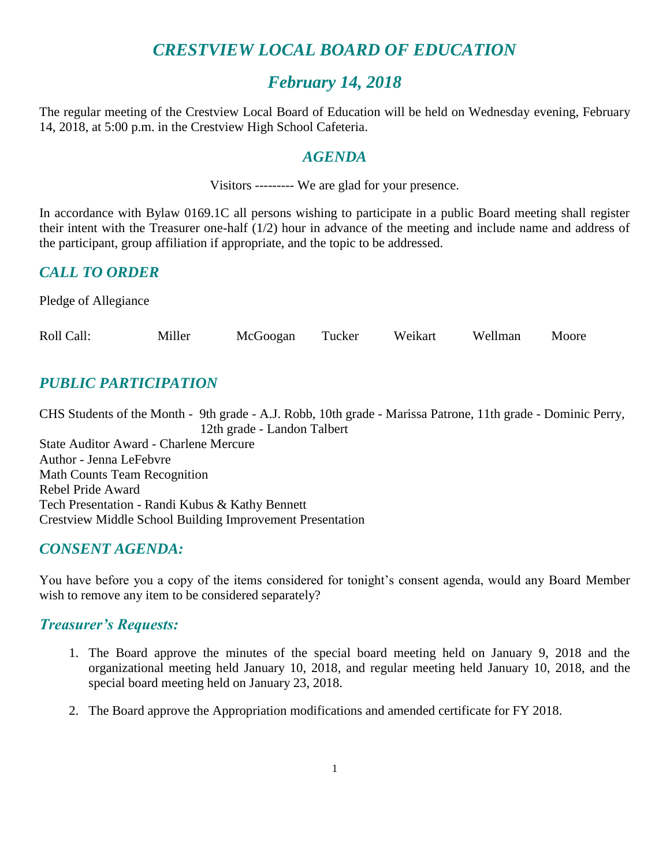# *CRESTVIEW LOCAL BOARD OF EDUCATION*

# *February 14, 2018*

The regular meeting of the Crestview Local Board of Education will be held on Wednesday evening, February 14, 2018, at 5:00 p.m. in the Crestview High School Cafeteria.

#### *AGENDA*

Visitors --------- We are glad for your presence.

In accordance with Bylaw 0169.1C all persons wishing to participate in a public Board meeting shall register their intent with the Treasurer one-half (1/2) hour in advance of the meeting and include name and address of the participant, group affiliation if appropriate, and the topic to be addressed.

# *CALL TO ORDER*

Pledge of Allegiance

| Roll Call:<br>Miller | McGoogan | Tucker | Weikart | Wellman | Moore |
|----------------------|----------|--------|---------|---------|-------|
|----------------------|----------|--------|---------|---------|-------|

# *PUBLIC PARTICIPATION*

CHS Students of the Month - 9th grade - A.J. Robb, 10th grade - Marissa Patrone, 11th grade - Dominic Perry, 12th grade - Landon Talbert State Auditor Award - Charlene Mercure Author - Jenna LeFebvre Math Counts Team Recognition Rebel Pride Award Tech Presentation - Randi Kubus & Kathy Bennett Crestview Middle School Building Improvement Presentation

### *CONSENT AGENDA:*

You have before you a copy of the items considered for tonight's consent agenda, would any Board Member wish to remove any item to be considered separately?

### *Treasurer's Requests:*

- 1. The Board approve the minutes of the special board meeting held on January 9, 2018 and the organizational meeting held January 10, 2018, and regular meeting held January 10, 2018, and the special board meeting held on January 23, 2018.
- 2. The Board approve the Appropriation modifications and amended certificate for FY 2018.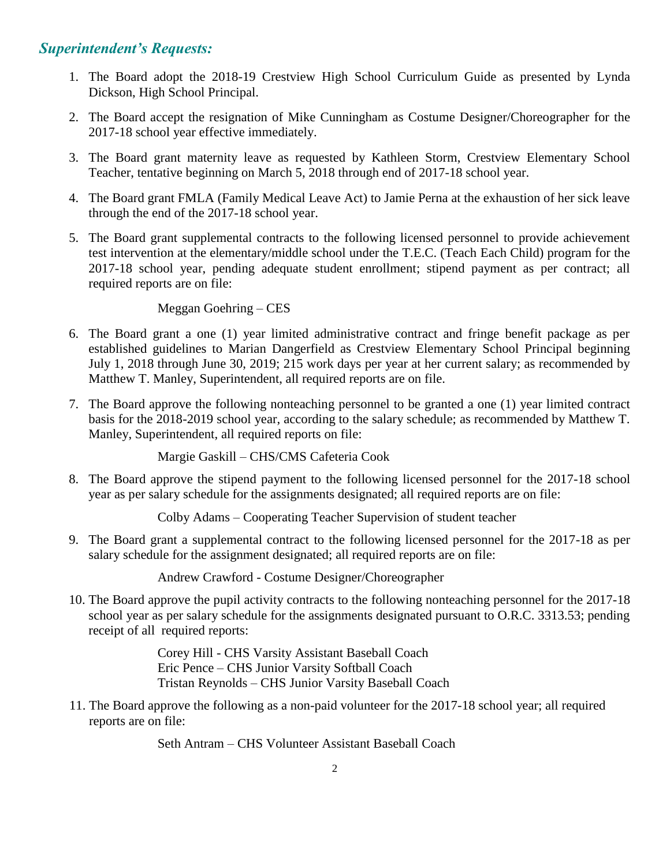## *Superintendent's Requests:*

- 1. The Board adopt the 2018-19 Crestview High School Curriculum Guide as presented by Lynda Dickson, High School Principal.
- 2. The Board accept the resignation of Mike Cunningham as Costume Designer/Choreographer for the 2017-18 school year effective immediately.
- 3. The Board grant maternity leave as requested by Kathleen Storm, Crestview Elementary School Teacher, tentative beginning on March 5, 2018 through end of 2017-18 school year.
- 4. The Board grant FMLA (Family Medical Leave Act) to Jamie Perna at the exhaustion of her sick leave through the end of the 2017-18 school year.
- 5. The Board grant supplemental contracts to the following licensed personnel to provide achievement test intervention at the elementary/middle school under the T.E.C. (Teach Each Child) program for the 2017-18 school year, pending adequate student enrollment; stipend payment as per contract; all required reports are on file:

#### Meggan Goehring – CES

- 6. The Board grant a one (1) year limited administrative contract and fringe benefit package as per established guidelines to Marian Dangerfield as Crestview Elementary School Principal beginning July 1, 2018 through June 30, 2019; 215 work days per year at her current salary; as recommended by Matthew T. Manley, Superintendent, all required reports are on file.
- 7. The Board approve the following nonteaching personnel to be granted a one (1) year limited contract basis for the 2018-2019 school year, according to the salary schedule; as recommended by Matthew T. Manley, Superintendent, all required reports on file:

Margie Gaskill – CHS/CMS Cafeteria Cook

8. The Board approve the stipend payment to the following licensed personnel for the 2017-18 school year as per salary schedule for the assignments designated; all required reports are on file:

Colby Adams – Cooperating Teacher Supervision of student teacher

9. The Board grant a supplemental contract to the following licensed personnel for the 2017-18 as per salary schedule for the assignment designated; all required reports are on file:

Andrew Crawford - Costume Designer/Choreographer

10. The Board approve the pupil activity contracts to the following nonteaching personnel for the 2017-18 school year as per salary schedule for the assignments designated pursuant to O.R.C. 3313.53; pending receipt of all required reports:

> Corey Hill - CHS Varsity Assistant Baseball Coach Eric Pence – CHS Junior Varsity Softball Coach Tristan Reynolds – CHS Junior Varsity Baseball Coach

11. The Board approve the following as a non-paid volunteer for the 2017-18 school year; all required reports are on file:

Seth Antram – CHS Volunteer Assistant Baseball Coach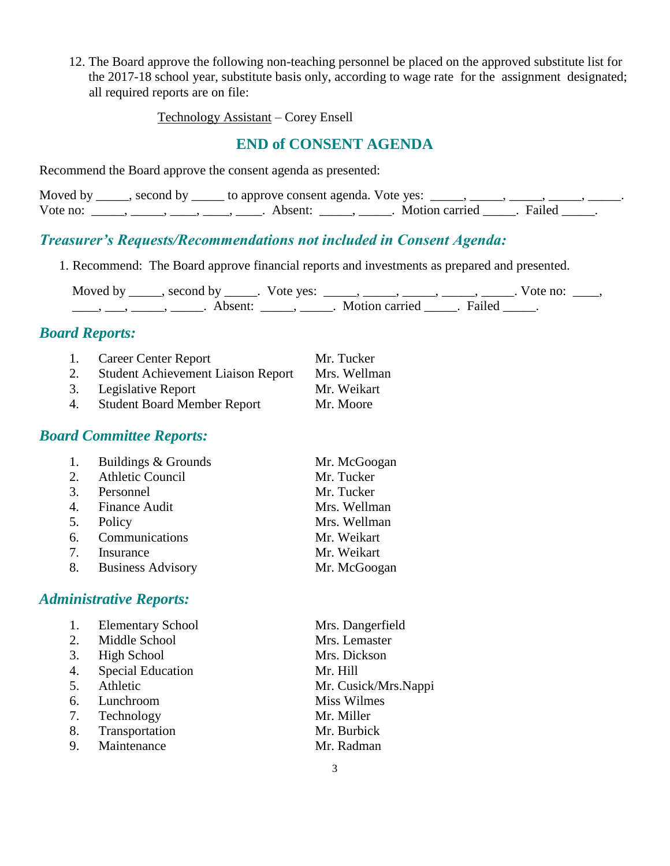12. The Board approve the following non-teaching personnel be placed on the approved substitute list for the 2017-18 school year, substitute basis only, according to wage rate for the assignment designated; all required reports are on file:

Technology Assistant – Corey Ensell

#### **END of CONSENT AGENDA**

Recommend the Board approve the consent agenda as presented:

|          | Moved by ______, second by ______ to approve consent agenda. Vote yes: |                         |  |
|----------|------------------------------------------------------------------------|-------------------------|--|
| Vote no: | Absent <sup>.</sup>                                                    | Motion carried . Failed |  |

#### *Treasurer's Requests/Recommendations not included in Consent Agenda:*

1. Recommend: The Board approve financial reports and investments as prepared and presented.

Moved by \_\_\_\_\_, second by \_\_\_\_\_. Vote yes:  $\_\_\_\_\_\_\_\_\_\_\_\_\_\_\_$  \_\_\_\_\_, \_\_\_\_\_, \_\_\_\_. Vote no:  $\_\_\_\_\_\$ \_\_\_\_, \_\_\_\_, \_\_\_\_\_, Absent: \_\_\_\_, \_\_\_\_\_. Motion carried \_\_\_\_\_. Failed \_\_\_\_\_.

#### *Board Reports:*

|    | 1. Career Center Report                   | Mr. Tucker   |
|----|-------------------------------------------|--------------|
| 2. | <b>Student Achievement Liaison Report</b> | Mrs. Wellman |
|    | 3. Legislative Report                     | Mr. Weikart  |
| 4. | <b>Student Board Member Report</b>        | Mr. Moore    |

#### *Board Committee Reports:*

| 1. | Buildings & Grounds  | Mr. McGoogan |
|----|----------------------|--------------|
|    | 2. Athletic Council  | Mr. Tucker   |
| 3. | Personnel            | Mr. Tucker   |
|    | 4. Finance Audit     | Mrs. Wellman |
| 5. | Policy               | Mrs. Wellman |
|    | 6. Communications    | Mr. Weikart  |
| 7. | Insurance            | Mr. Weikart  |
|    | 8. Business Advisory | Mr. McGoogan |

## *Administrative Reports:*

|    | <b>Elementary School</b> | Mrs. Dangerfield     |
|----|--------------------------|----------------------|
| 2. | Middle School            | Mrs. Lemaster        |
| 3. | High School              | Mrs. Dickson         |
| 4. | <b>Special Education</b> | Mr. Hill             |
| 5. | Athletic                 | Mr. Cusick/Mrs.Nappi |
| 6. | Lunchroom                | Miss Wilmes          |
| 7. | Technology               | Mr. Miller           |
| 8. | Transportation           | Mr. Burbick          |
| 9. | Maintenance              | Mr. Radman           |
|    |                          |                      |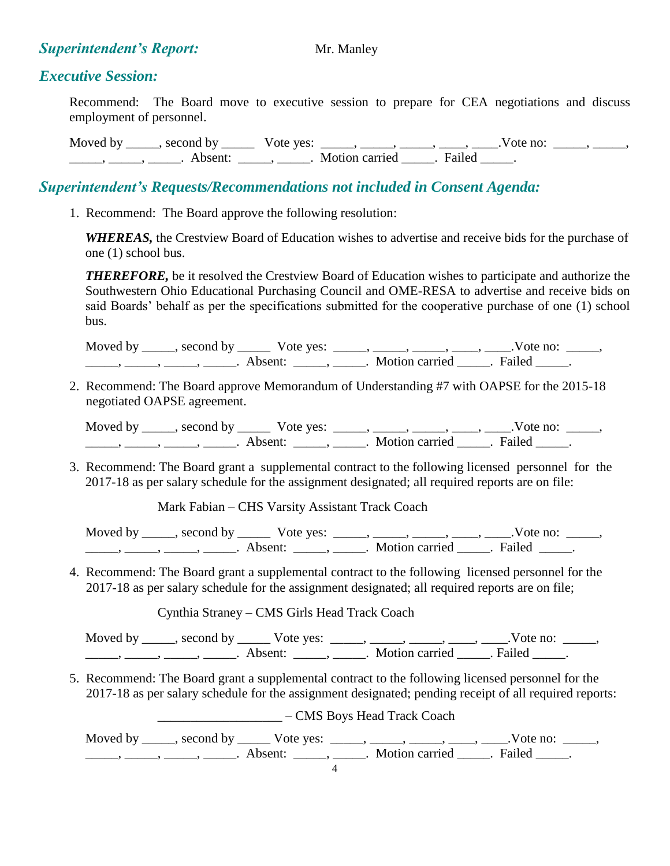#### **Superintendent's Report:** Mr. Manley

#### *Executive Session:*

Recommend: The Board move to executive session to prepare for CEA negotiations and discuss employment of personnel.

Moved by \_\_\_\_, second by \_\_\_\_\_\_ Vote yes: \_\_\_\_, \_\_\_\_, \_\_\_\_, \_\_\_\_, \_\_\_\_, Vote no: \_\_\_\_, \_\_\_\_, \_\_\_\_\_\_, \_\_\_\_\_\_, \_\_\_\_\_\_\_. Absent: \_\_\_\_\_\_, \_\_\_\_\_\_. Motion carried \_\_\_\_\_\_. Failed \_\_\_\_\_.

# *Superintendent's Requests/Recommendations not included in Consent Agenda:*

1. Recommend: The Board approve the following resolution:

 *WHEREAS,* the Crestview Board of Education wishes to advertise and receive bids for the purchase of one (1) school bus.

*THEREFORE*, be it resolved the Crestview Board of Education wishes to participate and authorize the Southwestern Ohio Educational Purchasing Council and OME-RESA to advertise and receive bids on said Boards' behalf as per the specifications submitted for the cooperative purchase of one (1) school bus.

Moved by \_\_\_\_\_, second by \_\_\_\_\_\_ Vote yes: \_\_\_\_\_, \_\_\_\_\_, \_\_\_\_\_, \_\_\_\_, \_\_\_\_.Vote no: \_\_\_\_\_,  $\frac{1}{\sqrt{2\pi}}$ ,  $\frac{1}{\sqrt{2\pi}}$ ,  $\frac{1}{\sqrt{2\pi}}$ ,  $\frac{1}{\sqrt{2\pi}}$ ,  $\frac{1}{\sqrt{2\pi}}$ ,  $\frac{1}{\sqrt{2\pi}}$ ,  $\frac{1}{\sqrt{2\pi}}$ ,  $\frac{1}{\sqrt{2\pi}}$ ,  $\frac{1}{\sqrt{2\pi}}$ ,  $\frac{1}{\sqrt{2\pi}}$ ,  $\frac{1}{\sqrt{2\pi}}$ ,  $\frac{1}{\sqrt{2\pi}}$ ,  $\frac{1}{\sqrt{2\pi}}$ ,  $\frac{1}{\sqrt{2\pi}}$ 

2. Recommend: The Board approve Memorandum of Understanding #7 with OAPSE for the 2015-18 negotiated OAPSE agreement.

Moved by \_\_\_\_\_, second by \_\_\_\_\_\_ Vote yes: \_\_\_\_\_, \_\_\_\_\_, \_\_\_\_, \_\_\_\_, \_\_\_\_.Vote no: \_\_\_\_\_, \_\_\_\_\_, \_\_\_\_\_, \_\_\_\_\_, \_\_\_\_\_. Absent: \_\_\_\_\_, \_\_\_\_\_. Motion carried \_\_\_\_\_. Failed \_\_\_\_\_.

3. Recommend: The Board grant a supplemental contract to the following licensed personnel for the 2017-18 as per salary schedule for the assignment designated; all required reports are on file:

Mark Fabian – CHS Varsity Assistant Track Coach

Moved by \_\_\_\_, second by \_\_\_\_\_\_ Vote yes: \_\_\_\_\_, \_\_\_\_\_, \_\_\_\_, \_\_\_\_, \_\_\_\_.Vote no: \_\_\_\_\_, \_\_\_\_\_, \_\_\_\_\_, \_\_\_\_\_, \_\_\_\_\_. Absent: \_\_\_\_\_, \_\_\_\_\_. Motion carried \_\_\_\_\_. Failed \_\_\_\_\_.

4. Recommend: The Board grant a supplemental contract to the following licensed personnel for the 2017-18 as per salary schedule for the assignment designated; all required reports are on file;

Cynthia Straney – CMS Girls Head Track Coach

Moved by \_\_\_\_\_, second by \_\_\_\_\_\_ Vote yes: \_\_\_\_\_, \_\_\_\_\_, \_\_\_\_\_, \_\_\_\_, \_\_\_\_.Vote no: \_\_\_\_\_, \_\_\_\_\_, \_\_\_\_\_, \_\_\_\_\_, \_\_\_\_\_. Absent: \_\_\_\_\_, \_\_\_\_\_. Motion carried \_\_\_\_\_. Failed \_\_\_\_\_.

5. Recommend: The Board grant a supplemental contract to the following licensed personnel for the 2017-18 as per salary schedule for the assignment designated; pending receipt of all required reports:

\_\_\_\_\_\_\_\_\_\_\_\_\_\_\_\_\_\_\_ – CMS Boys Head Track Coach

Moved by \_\_\_\_\_, second by \_\_\_\_\_\_ Vote yes: \_\_\_\_\_, \_\_\_\_\_, \_\_\_\_\_, \_\_\_\_, \_\_\_\_.Vote no: \_\_\_\_\_, \_\_\_\_\_, \_\_\_\_\_, \_\_\_\_\_, \_\_\_\_\_. Absent: \_\_\_\_\_, \_\_\_\_\_. Motion carried \_\_\_\_\_. Failed \_\_\_\_\_.